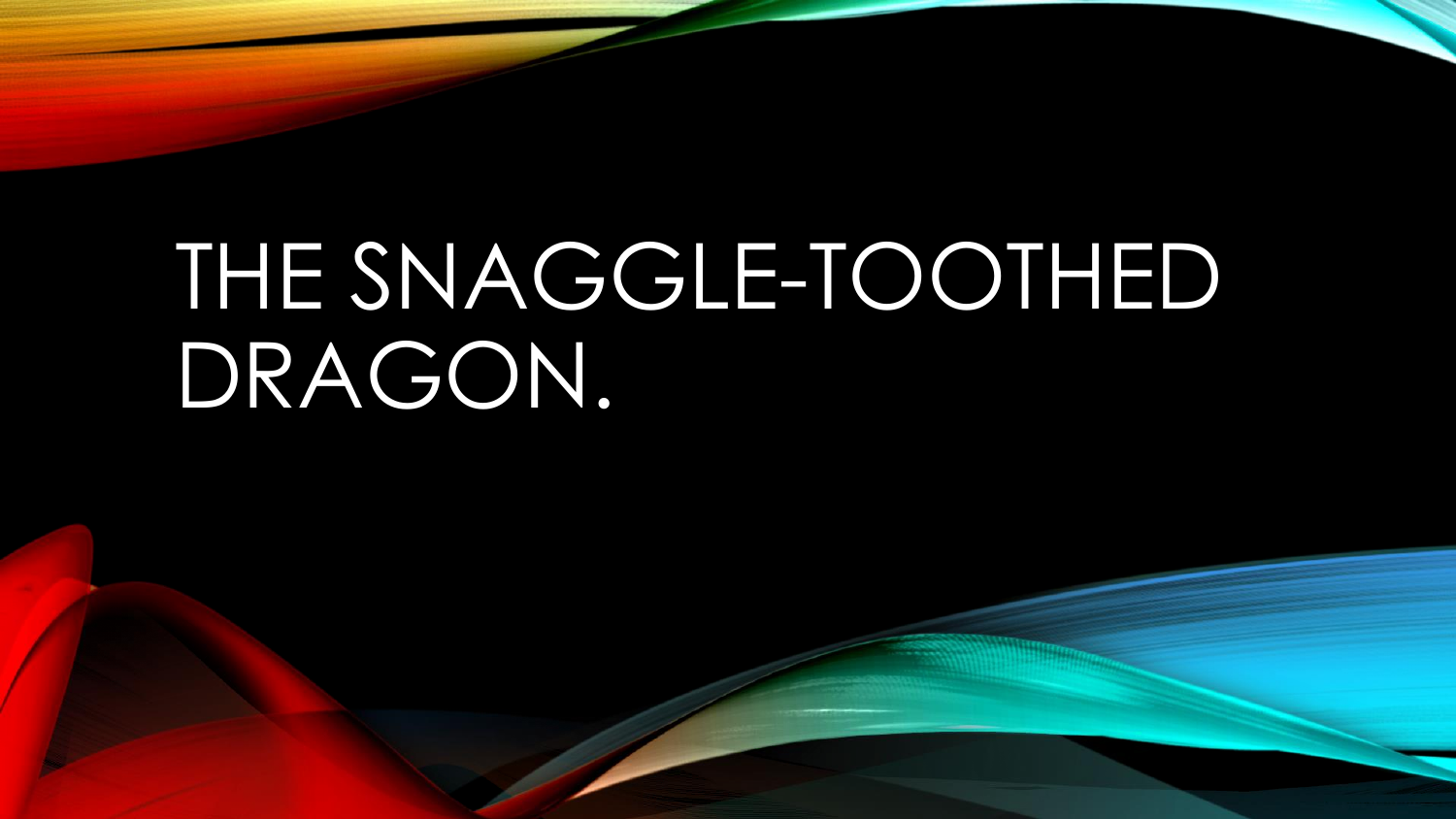## THE SNAGGLE-TOOTHED DRAGON.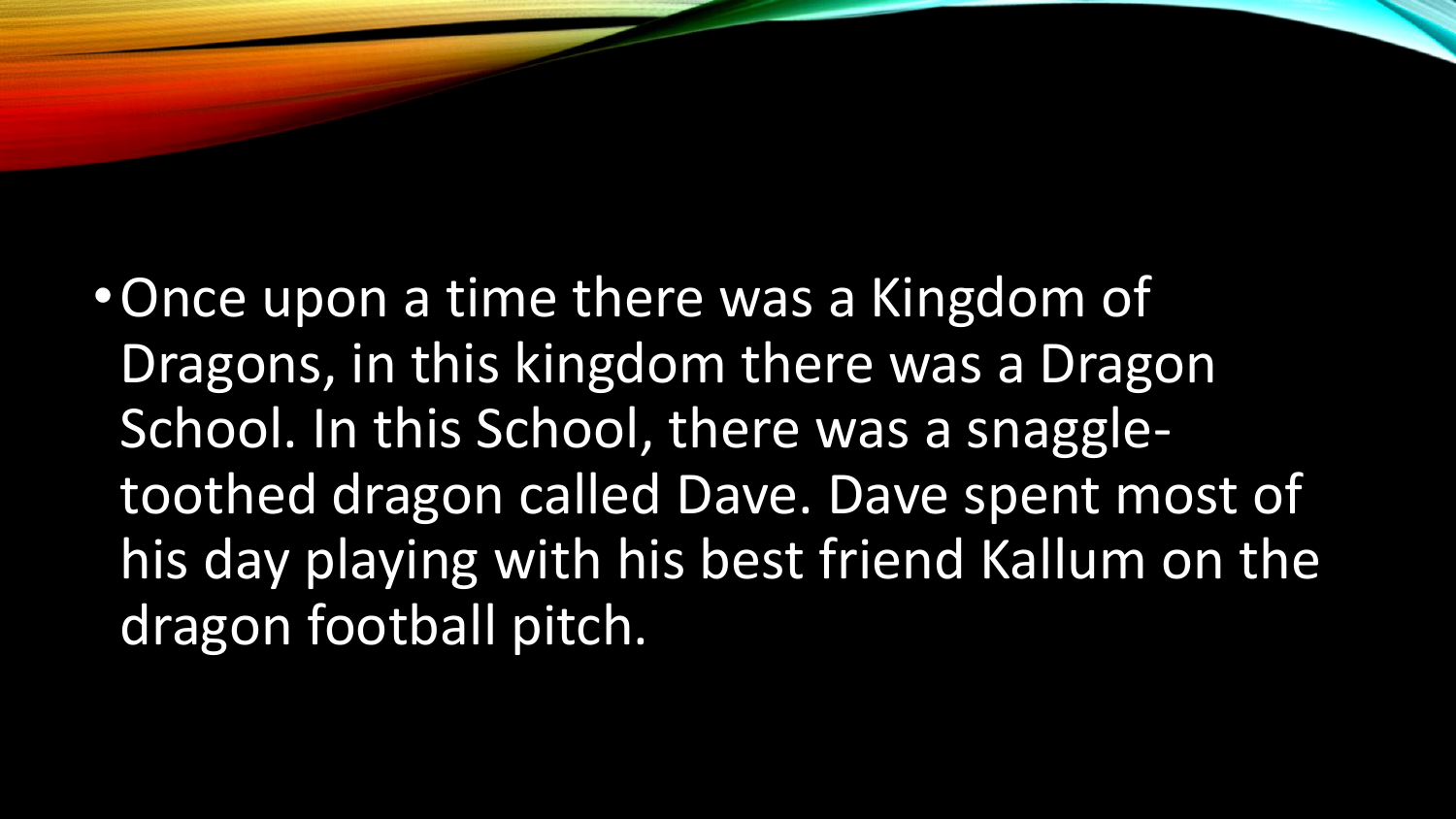•Once upon a time there was a Kingdom of Dragons, in this kingdom there was a Dragon School. In this School, there was a snaggletoothed dragon called Dave. Dave spent most of his day playing with his best friend Kallum on the dragon football pitch.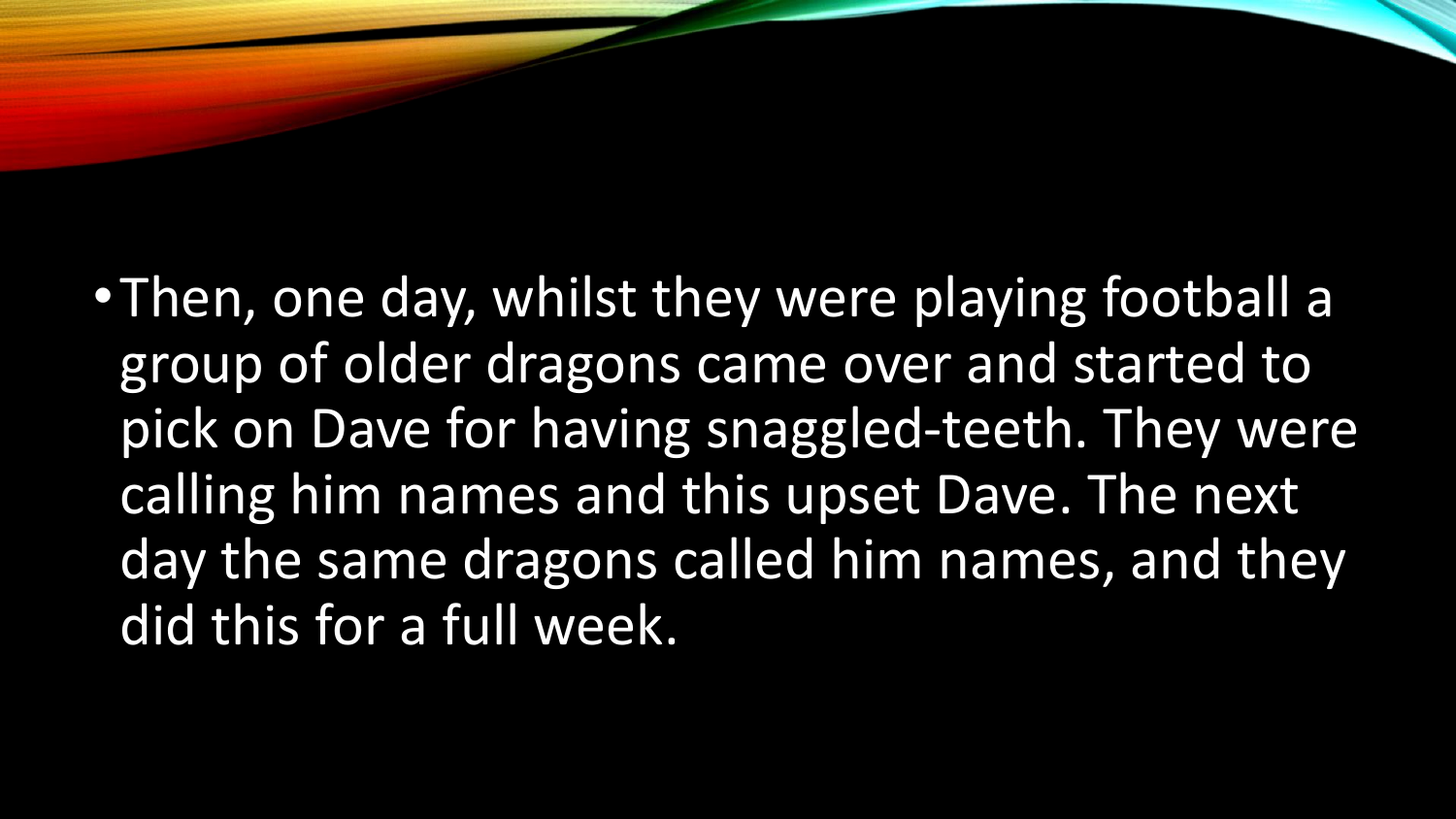•Then, one day, whilst they were playing football a group of older dragons came over and started to pick on Dave for having snaggled-teeth. They were calling him names and this upset Dave. The next day the same dragons called him names, and they did this for a full week.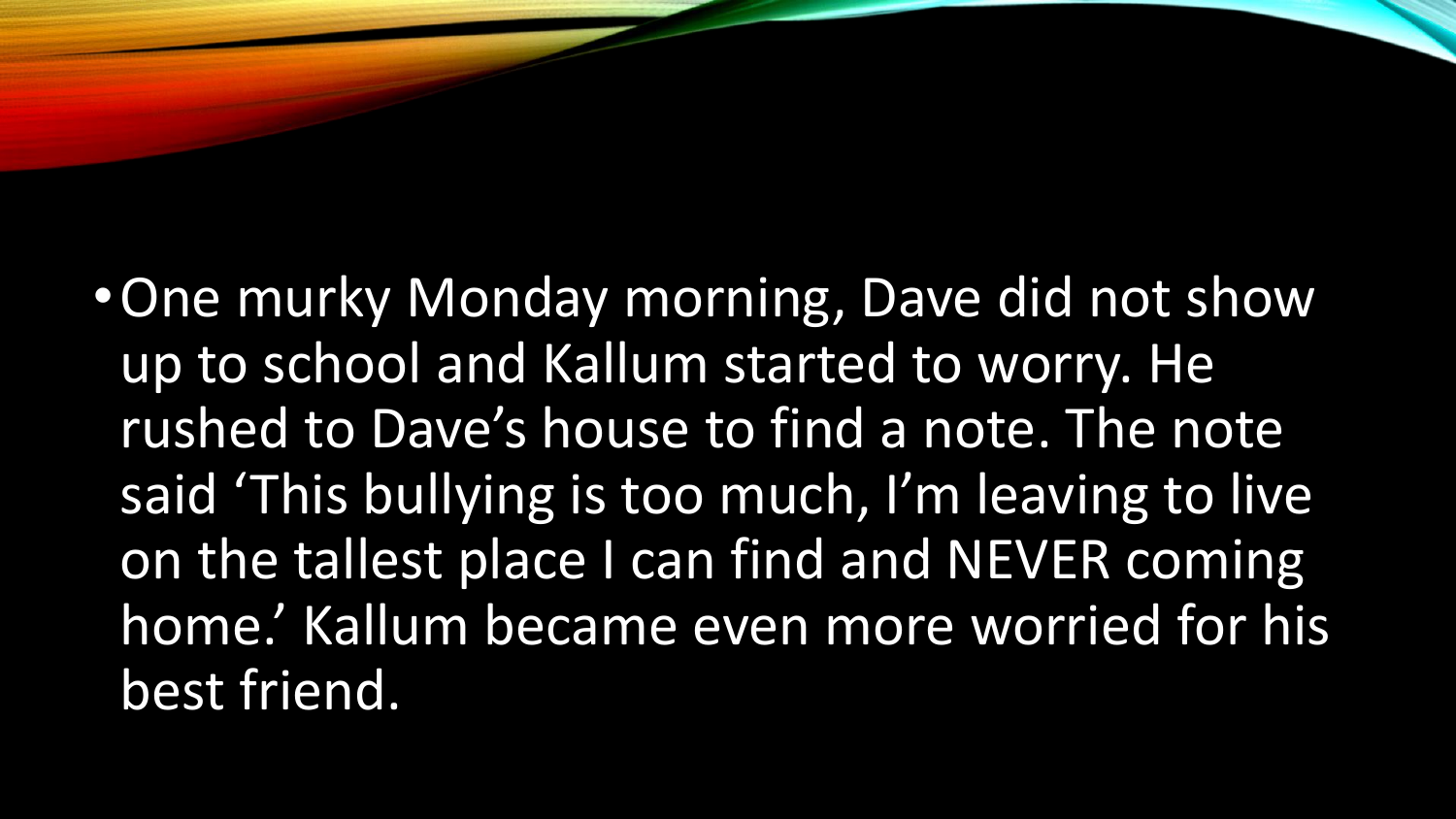•One murky Monday morning, Dave did not show up to school and Kallum started to worry. He rushed to Dave's house to find a note. The note said 'This bullying is too much, I'm leaving to live on the tallest place I can find and NEVER coming home.' Kallum became even more worried for his best friend.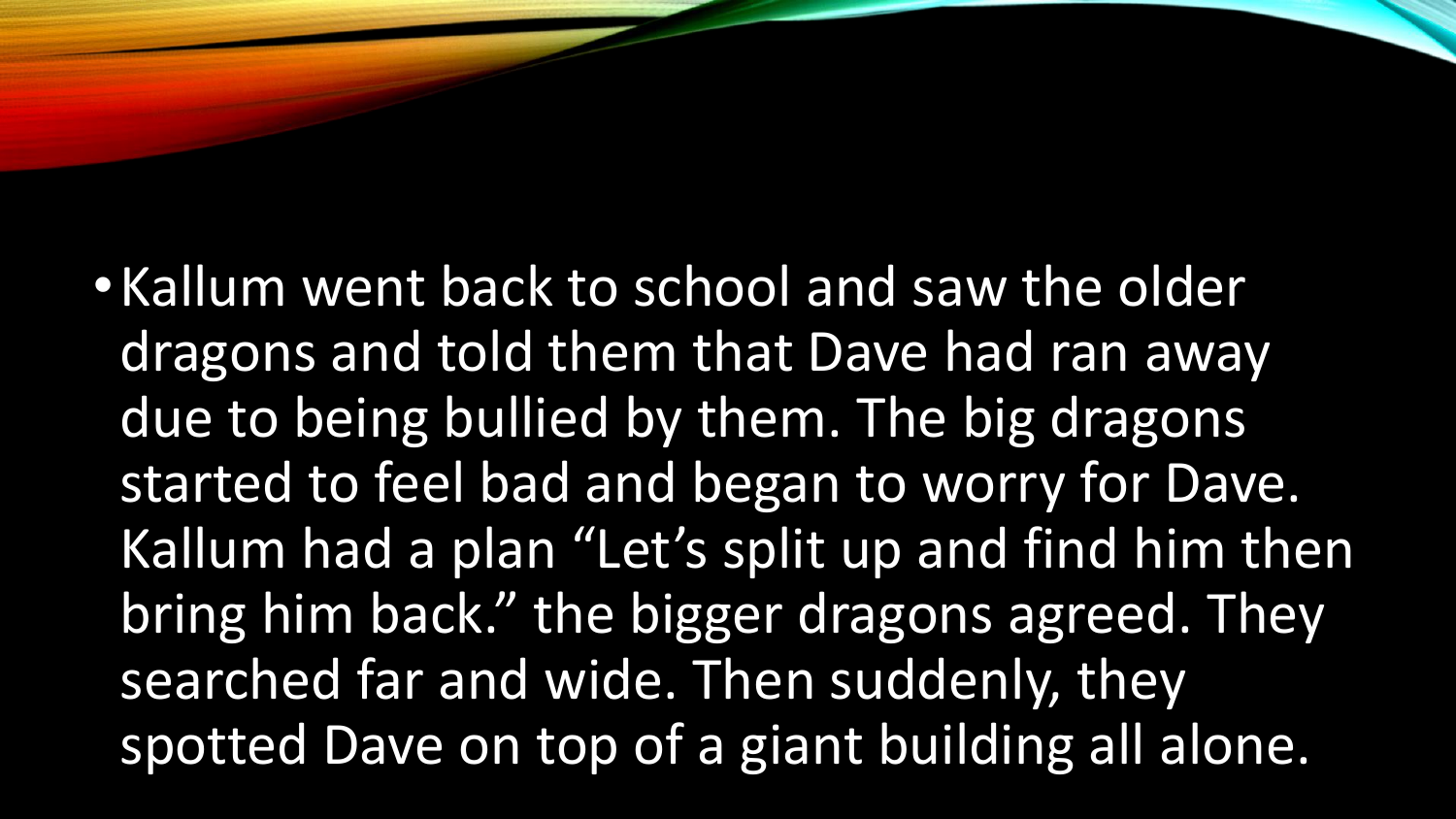• Kallum went back to school and saw the older dragons and told them that Dave had ran away due to being bullied by them. The big dragons started to feel bad and began to worry for Dave. Kallum had a plan "Let's split up and find him then bring him back." the bigger dragons agreed. They searched far and wide. Then suddenly, they spotted Dave on top of a giant building all alone.